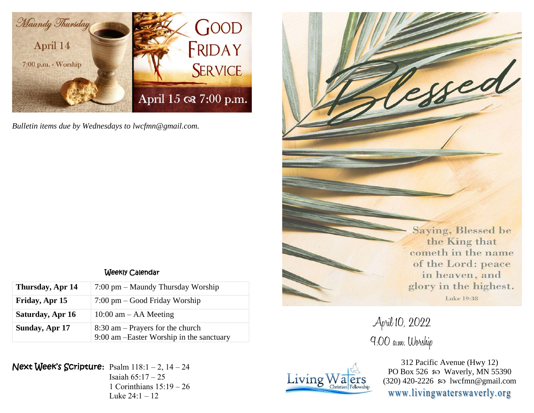

*Bulletin items due by Wednesdays to lwcfmn@gmail.com.*

## Weekly Calendar

| Thursday, Apr 14 | 7:00 pm – Maundy Thursday Worship                                              |
|------------------|--------------------------------------------------------------------------------|
| Friday, Apr 15   | $7:00 \text{ pm} - \text{Good Friday Workshop}$                                |
| Saturday, Apr 16 | 10:00 am $-$ AA Meeting                                                        |
| Sunday, Apr 17   | $8:30$ am – Prayers for the church<br>9:00 am –Easter Worship in the sanctuary |

Next Week's Scripture**:** Psalm 118:1 – 2, 14 – 24 Isaiah 65:17 – 25 1 Corinthians 15:19 – 26 Luke 24:1 – 12



April 10, 2022 9:00 a.m. Worship



312 Pacific Avenue (Hwy 12) PO Box 526  $\infty$  Waverly, MN 55390 (320) 420-2226 so lwcfmn@gmail.com www.livingwaterswaverly.org